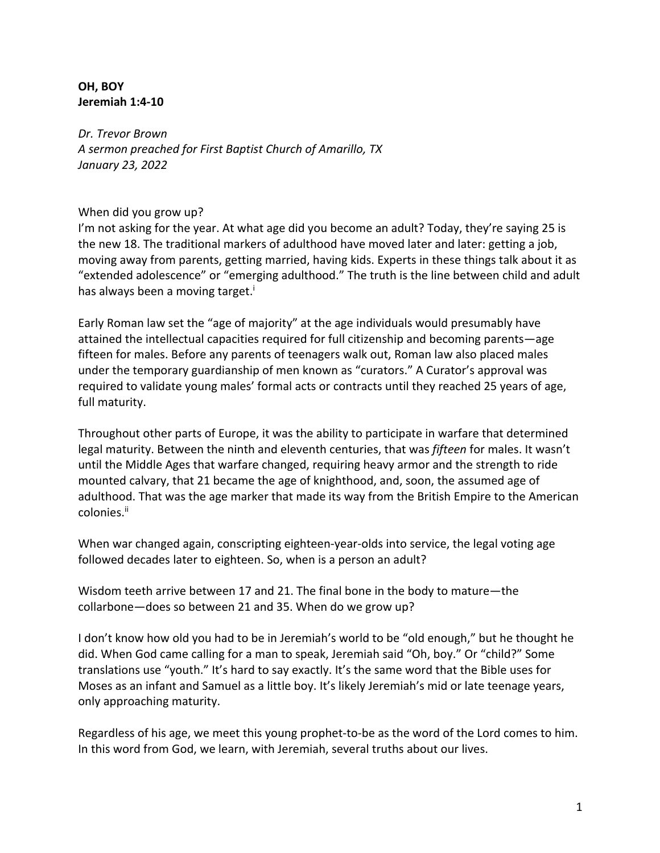## **OH, BOY Jeremiah 1:4-10**

*Dr. Trevor Brown A sermon preached for First Baptist Church of Amarillo, TX January 23, 2022*

## When did you grow up?

I'm not asking for the year. At what age did you become an adult? Today, they're saying 25 is the new 18. The traditional markers of adulthood have moved later and later: getting a job, moving away from parents, getting married, having kids. Experts in these things talk about it as "extended adolescence" or "emerging adulthood." The truth is the line between child and adult has always been a moving target.<sup>i</sup>

Early Roman law set the "age of majority" at the age individuals would presumably have attained the intellectual capacities required for full citizenship and becoming parents—age fifteen for males. Before any parents of teenagers walk out, Roman law also placed males under the temporary guardianship of men known as "curators." A Curator's approval was required to validate young males' formal acts or contracts until they reached 25 years of age, full maturity.

Throughout other parts of Europe, it was the ability to participate in warfare that determined legal maturity. Between the ninth and eleventh centuries, that was *fifteen* for males. It wasn't until the Middle Ages that warfare changed, requiring heavy armor and the strength to ride mounted calvary, that 21 became the age of knighthood, and, soon, the assumed age of adulthood. That was the age marker that made its way from the British Empire to the American colonies.ii

When war changed again, conscripting eighteen-year-olds into service, the legal voting age followed decades later to eighteen. So, when is a person an adult?

Wisdom teeth arrive between 17 and 21. The final bone in the body to mature—the collarbone—does so between 21 and 35. When do we grow up?

I don't know how old you had to be in Jeremiah's world to be "old enough," but he thought he did. When God came calling for a man to speak, Jeremiah said "Oh, boy." Or "child?" Some translations use "youth." It's hard to say exactly. It's the same word that the Bible uses for Moses as an infant and Samuel as a little boy. It's likely Jeremiah's mid or late teenage years, only approaching maturity.

Regardless of his age, we meet this young prophet-to-be as the word of the Lord comes to him. In this word from God, we learn, with Jeremiah, several truths about our lives.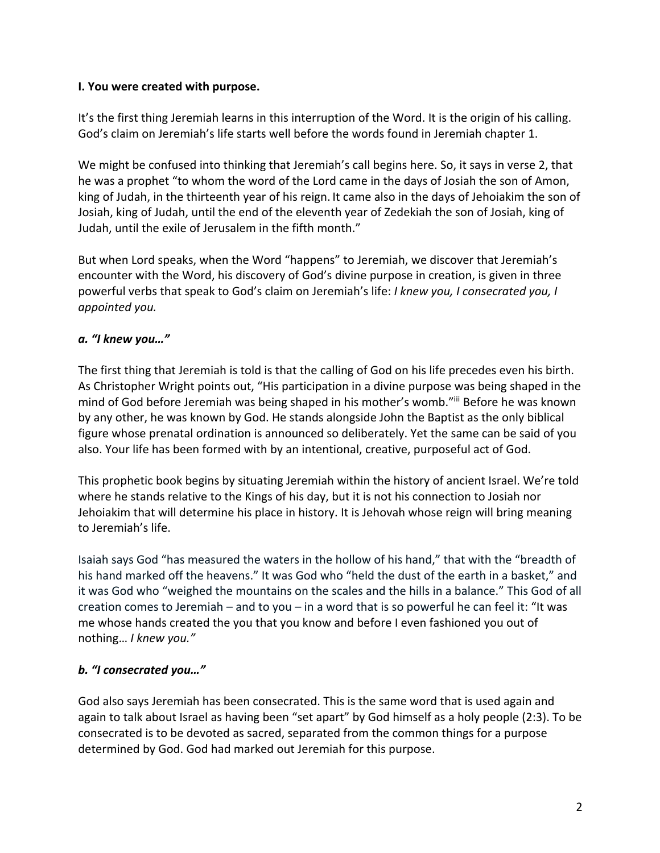## **I. You were created with purpose.**

It's the first thing Jeremiah learns in this interruption of the Word. It is the origin of his calling. God's claim on Jeremiah's life starts well before the words found in Jeremiah chapter 1.

We might be confused into thinking that Jeremiah's call begins here. So, it says in verse 2, that he was a prophet "to whom the word of the Lord came in the days of Josiah the son of Amon, king of Judah, in the thirteenth year of his reign. It came also in the days of Jehoiakim the son of Josiah, king of Judah, until the end of the eleventh year of Zedekiah the son of Josiah, king of Judah, until the exile of Jerusalem in the fifth month."

But when Lord speaks, when the Word "happens" to Jeremiah, we discover that Jeremiah's encounter with the Word, his discovery of God's divine purpose in creation, is given in three powerful verbs that speak to God's claim on Jeremiah's life: *I knew you, I consecrated you, I appointed you.*

## *a. "I knew you…"*

The first thing that Jeremiah is told is that the calling of God on his life precedes even his birth. As Christopher Wright points out, "His participation in a divine purpose was being shaped in the mind of God before Jeremiah was being shaped in his mother's womb."iii Before he was known by any other, he was known by God. He stands alongside John the Baptist as the only biblical figure whose prenatal ordination is announced so deliberately. Yet the same can be said of you also. Your life has been formed with by an intentional, creative, purposeful act of God.

This prophetic book begins by situating Jeremiah within the history of ancient Israel. We're told where he stands relative to the Kings of his day, but it is not his connection to Josiah nor Jehoiakim that will determine his place in history. It is Jehovah whose reign will bring meaning to Jeremiah's life.

Isaiah says God "has measured the waters in the hollow of his hand," that with the "breadth of his hand marked off the heavens." It was God who "held the dust of the earth in a basket," and it was God who "weighed the mountains on the scales and the hills in a balance." This God of all creation comes to Jeremiah – and to you – in a word that is so powerful he can feel it: "It was me whose hands created the you that you know and before I even fashioned you out of nothing… *I knew you."*

# *b. "I consecrated you…"*

God also says Jeremiah has been consecrated. This is the same word that is used again and again to talk about Israel as having been "set apart" by God himself as a holy people (2:3). To be consecrated is to be devoted as sacred, separated from the common things for a purpose determined by God. God had marked out Jeremiah for this purpose.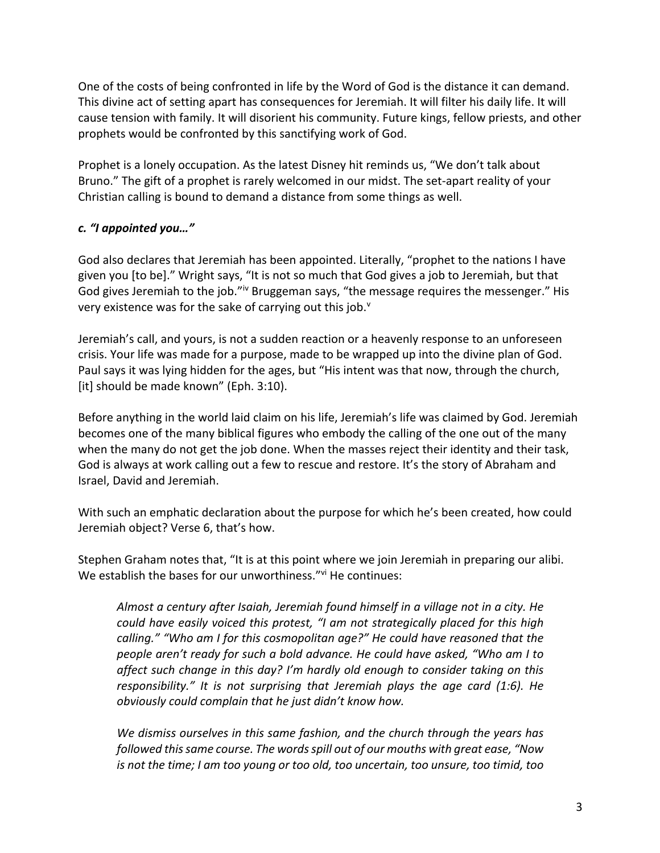One of the costs of being confronted in life by the Word of God is the distance it can demand. This divine act of setting apart has consequences for Jeremiah. It will filter his daily life. It will cause tension with family. It will disorient his community. Future kings, fellow priests, and other prophets would be confronted by this sanctifying work of God.

Prophet is a lonely occupation. As the latest Disney hit reminds us, "We don't talk about Bruno." The gift of a prophet is rarely welcomed in our midst. The set-apart reality of your Christian calling is bound to demand a distance from some things as well.

## *c. "I appointed you…"*

God also declares that Jeremiah has been appointed. Literally, "prophet to the nations I have given you [to be]." Wright says, "It is not so much that God gives a job to Jeremiah, but that God gives Jeremiah to the job."<sup>iv</sup> Bruggeman says, "the message requires the messenger." His very existence was for the sake of carrying out this job.<sup>v</sup>

Jeremiah's call, and yours, is not a sudden reaction or a heavenly response to an unforeseen crisis. Your life was made for a purpose, made to be wrapped up into the divine plan of God. Paul says it was lying hidden for the ages, but "His intent was that now, through the church, [it] should be made known" (Eph. 3:10).

Before anything in the world laid claim on his life, Jeremiah's life was claimed by God. Jeremiah becomes one of the many biblical figures who embody the calling of the one out of the many when the many do not get the job done. When the masses reject their identity and their task, God is always at work calling out a few to rescue and restore. It's the story of Abraham and Israel, David and Jeremiah.

With such an emphatic declaration about the purpose for which he's been created, how could Jeremiah object? Verse 6, that's how.

Stephen Graham notes that, "It is at this point where we join Jeremiah in preparing our alibi. We establish the bases for our unworthiness."<sup>vi</sup> He continues:

*Almost a century after Isaiah, Jeremiah found himself in a village not in a city. He could have easily voiced this protest, "I am not strategically placed for this high calling." "Who am I for this cosmopolitan age?" He could have reasoned that the people aren't ready for such a bold advance. He could have asked, "Who am I to affect such change in this day? I'm hardly old enough to consider taking on this responsibility." It is not surprising that Jeremiah plays the age card (1:6). He obviously could complain that he just didn't know how.*

*We dismiss ourselves in this same fashion, and the church through the years has followed this same course. The words spill out of our mouths with great ease, "Now is not the time; I am too young or too old, too uncertain, too unsure, too timid, too*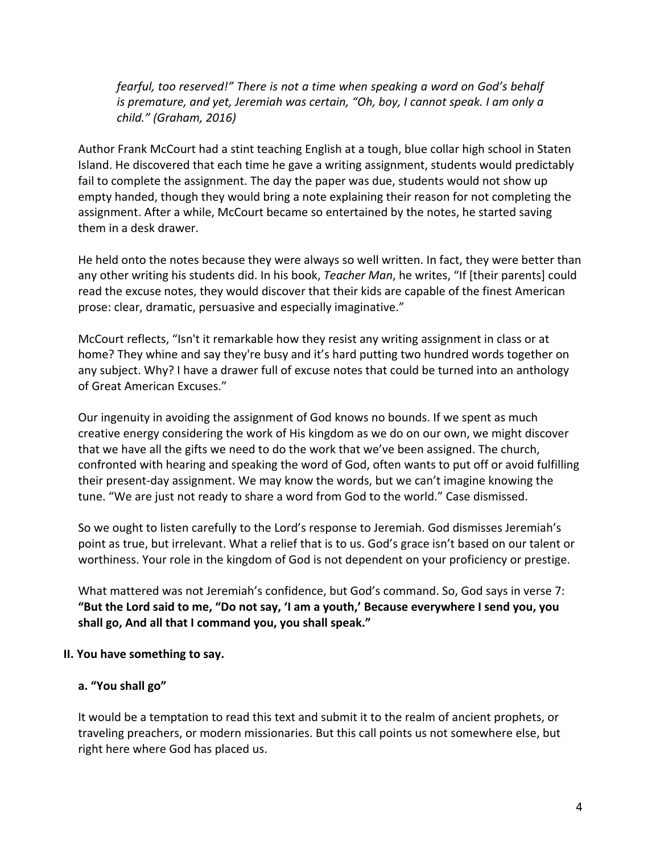*fearful, too reserved!" There is not a time when speaking a word on God's behalf is premature, and yet, Jeremiah was certain, "Oh, boy, I cannot speak. I am only a child." (Graham, 2016)*

Author Frank McCourt had a stint teaching English at a tough, blue collar high school in Staten Island. He discovered that each time he gave a writing assignment, students would predictably fail to complete the assignment. The day the paper was due, students would not show up empty handed, though they would bring a note explaining their reason for not completing the assignment. After a while, McCourt became so entertained by the notes, he started saving them in a desk drawer.

He held onto the notes because they were always so well written. In fact, they were better than any other writing his students did. In his book, *Teacher Man*, he writes, "If [their parents] could read the excuse notes, they would discover that their kids are capable of the finest American prose: clear, dramatic, persuasive and especially imaginative."

McCourt reflects, "Isn't it remarkable how they resist any writing assignment in class or at home? They whine and say they're busy and it's hard putting two hundred words together on any subject. Why? I have a drawer full of excuse notes that could be turned into an anthology of Great American Excuses."

Our ingenuity in avoiding the assignment of God knows no bounds. If we spent as much creative energy considering the work of His kingdom as we do on our own, we might discover that we have all the gifts we need to do the work that we've been assigned. The church, confronted with hearing and speaking the word of God, often wants to put off or avoid fulfilling their present-day assignment. We may know the words, but we can't imagine knowing the tune. "We are just not ready to share a word from God to the world." Case dismissed.

So we ought to listen carefully to the Lord's response to Jeremiah. God dismisses Jeremiah's point as true, but irrelevant. What a relief that is to us. God's grace isn't based on our talent or worthiness. Your role in the kingdom of God is not dependent on your proficiency or prestige.

What mattered was not Jeremiah's confidence, but God's command. So, God says in verse 7: **"But the Lord said to me, "Do not say, 'I am a youth,' Because everywhere I send you, you shall go, And all that I command you, you shall speak."**

#### **II. You have something to say.**

## **a. "You shall go"**

It would be a temptation to read this text and submit it to the realm of ancient prophets, or traveling preachers, or modern missionaries. But this call points us not somewhere else, but right here where God has placed us.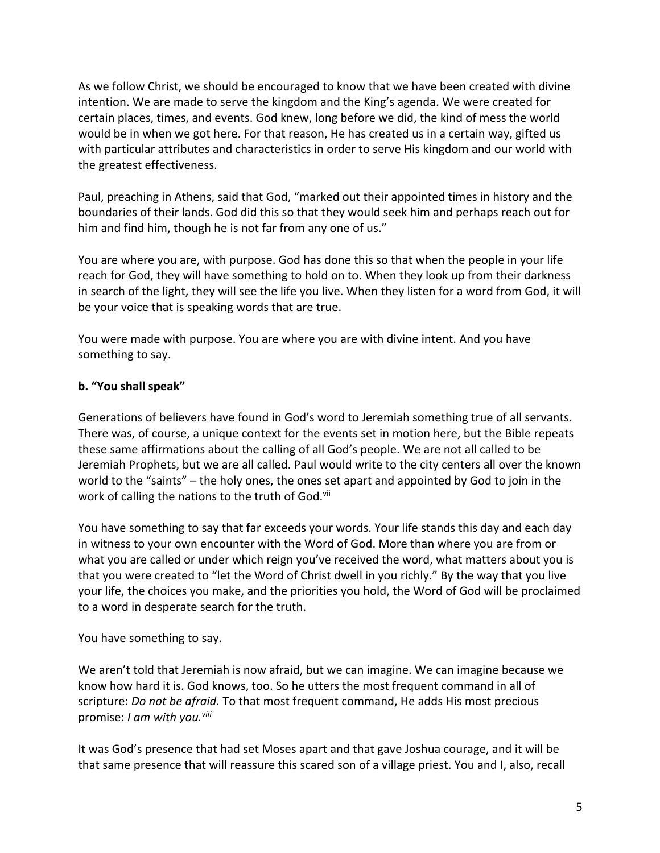As we follow Christ, we should be encouraged to know that we have been created with divine intention. We are made to serve the kingdom and the King's agenda. We were created for certain places, times, and events. God knew, long before we did, the kind of mess the world would be in when we got here. For that reason, He has created us in a certain way, gifted us with particular attributes and characteristics in order to serve His kingdom and our world with the greatest effectiveness.

Paul, preaching in Athens, said that God, "marked out their appointed times in history and the boundaries of their lands. God did this so that they would seek him and perhaps reach out for him and find him, though he is not far from any one of us."

You are where you are, with purpose. God has done this so that when the people in your life reach for God, they will have something to hold on to. When they look up from their darkness in search of the light, they will see the life you live. When they listen for a word from God, it will be your voice that is speaking words that are true.

You were made with purpose. You are where you are with divine intent. And you have something to say.

## **b. "You shall speak"**

Generations of believers have found in God's word to Jeremiah something true of all servants. There was, of course, a unique context for the events set in motion here, but the Bible repeats these same affirmations about the calling of all God's people. We are not all called to be Jeremiah Prophets, but we are all called. Paul would write to the city centers all over the known world to the "saints" – the holy ones, the ones set apart and appointed by God to join in the work of calling the nations to the truth of God.<sup>vii</sup>

You have something to say that far exceeds your words. Your life stands this day and each day in witness to your own encounter with the Word of God. More than where you are from or what you are called or under which reign you've received the word, what matters about you is that you were created to "let the Word of Christ dwell in you richly." By the way that you live your life, the choices you make, and the priorities you hold, the Word of God will be proclaimed to a word in desperate search for the truth.

## You have something to say.

We aren't told that Jeremiah is now afraid, but we can imagine. We can imagine because we know how hard it is. God knows, too. So he utters the most frequent command in all of scripture: *Do not be afraid.* To that most frequent command, He adds His most precious promise: *I am with you.viii*

It was God's presence that had set Moses apart and that gave Joshua courage, and it will be that same presence that will reassure this scared son of a village priest. You and I, also, recall